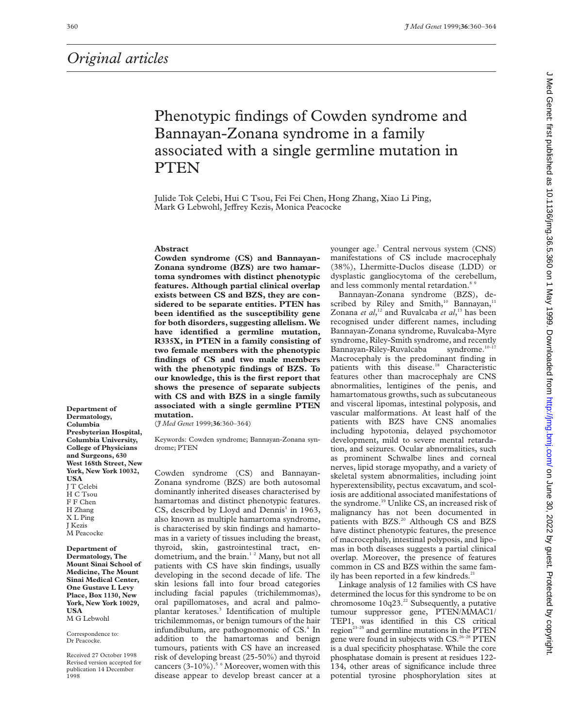# Phenotypic findings of Cowden syndrome and Bannayan-Zonana syndrome in a family associated with a single germline mutation in PTEN

Julide Tok Çelebi, Hui C Tsou, Fei Fei Chen, Hong Zhang, Xiao Li Ping, Mark G Lebwohl, Jeffrey Kezis, Monica Peacocke

#### **Abstract**

**Cowden syndrome (CS) and Bannayan-Zonana syndrome (BZS) are two hamartoma syndromes with distinct phenotypic features. Although partial clinical overlap exists between CS and BZS, they are considered to be separate entities. PTEN has been identified as the susceptibility gene for both disorders, suggesting allelism. We have identified a germline mutation, R335X, in PTEN in a family consisting of two female members with the phenotypic findings of CS and two male members with the phenotypic findings of BZS. To our knowledge, this is the first report that shows the presence of separate subjects with CS and with BZS in a single family associated with a single germline PTEN mutation.**

(*J Med Genet* 1999;**36**:360–364)

Keywords: Cowden syndrome; Bannayan-Zonana syndrome; PTEN

Cowden syndrome (CS) and Bannayan-Zonana syndrome (BZS) are both autosomal dominantly inherited diseases characterised by hamartomas and distinct phenotypic features. CS, described by Lloyd and Dennis<sup>1</sup> in 1963, also known as multiple hamartoma syndrome, is characterised by skin findings and hamartomas in a variety of tissues including the breast, thyroid, skin, gastrointestinal tract, endometrium, and the brain.<sup>12</sup> Many, but not all patients with CS have skin findings, usually developing in the second decade of life. The skin lesions fall into four broad categories including facial papules (trichilemmomas), oral papillomatoses, and acral and palmoplantar keratoses.3 Identification of multiple trichilemmomas, or benign tumours of the hair infundibulum, are pathognomonic of CS.<sup>4</sup> In addition to the hamartomas and benign tumours, patients with CS have an increased risk of developing breast (25-50%) and thyroid cancers  $(3-10\%)$ .<sup>5 6</sup> Moreover, women with this disease appear to develop breast cancer at a

younger age.<sup>7</sup> Central nervous system (CNS) manifestations of CS include macrocephaly (38%), Lhermitte-Duclos disease (LDD) or dysplastic gangliocytoma of the cerebellum, and less commonly mental retardation.<sup>8</sup>

Bannayan-Zonana syndrome (BZS), described by Riley and Smith,<sup>10</sup> Bannayan,<sup>11</sup> Zonana *et al*,<sup>12</sup> and Ruvalcaba *et al*,<sup>13</sup> has been recognised under different names, including Bannayan-Zonana syndrome, Ruvalcaba-Myre syndrome, Riley-Smith syndrome, and recently Bannayan-Riley-Ruvalcaba syndrome.<sup>10-17</sup> Macrocephaly is the predominant finding in patients with this disease.<sup>18</sup> Characteristic features other than macrocephaly are CNS abnormalities, lentigines of the penis, and hamartomatous growths, such as subcutaneous and visceral lipomas, intestinal polyposis, and vascular malformations. At least half of the patients with BZS have CNS anomalies including hypotonia, delayed psychomotor development, mild to severe mental retardation, and seizures. Ocular abnormalities, such as prominent Schwalbe lines and corneal nerves, lipid storage myopathy, and a variety of skeletal system abnormalities, including joint hyperextensibility, pectus excavatum, and scoliosis are additional associated manifestations of the syndrome.<sup>19</sup> Unlike CS, an increased risk of malignancy has not been documented in patients with BZS.<sup>20</sup> Although CS and BZS have distinct phenotypic features, the presence of macrocephaly, intestinal polyposis, and lipomas in both diseases suggests a partial clinical overlap. Moreover, the presence of features common in CS and BZS within the same family has been reported in a few kindreds.<sup>21</sup>

Linkage analysis of 12 families with CS have determined the locus for this syndrome to be on chromosome  $10q23.<sup>22</sup>$  Subsequently, a putative tumour suppressor gene, PTEN/MMAC1/ TEP1, was identified in this CS critical region<sup>23-25</sup> and germline mutations in the PTEN gene were found in subjects with CS.<sup>26-28</sup> PTEN is a dual specificity phosphatase. While the core phosphatase domain is present at residues 122- 134, other areas of significance include three potential tyrosine phosphorylation sites at

**Department of Dermatology, Columbia Presbyterian Hospital, Columbia University, College of Physicians and Surgeons, 630 West 168th Street, New York, New York 10032, USA** J T Çelebi H C Tsou F F Chen H Zhang X L Ping J Kezis M Peacocke

**Department of Dermatology, The Mount Sinai School of Medicine, The Mount Sinai Medical Center, One Gustave L Levy Place, Box 1130, New York, New York 10029, USA** M G Lebwohl

Correspondence to: Dr Peacocke.

Received 27 October 1998 Revised version accepted for publication 14 December 1998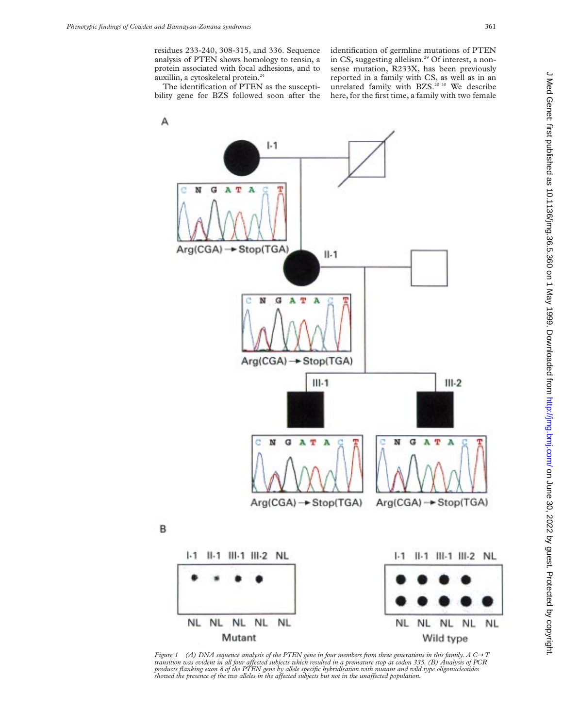residues 233-240, 308-315, and 336. Sequence analysis of PTEN shows homology to tensin, a protein associated with focal adhesions, and to auxillin, a cytoskeletal protein.<sup>24</sup>

identification of germline mutations of PTEN in CS, suggesting allelism.<sup>29</sup> Of interest, a nonsense mutation, R233X, has been previously reported in a family with CS, as well as in an unrelated family with BZS.<sup>20 30</sup> We describe here, for the first time, a family with two female

The identification of PTEN as the susceptibility gene for BZS followed soon after the



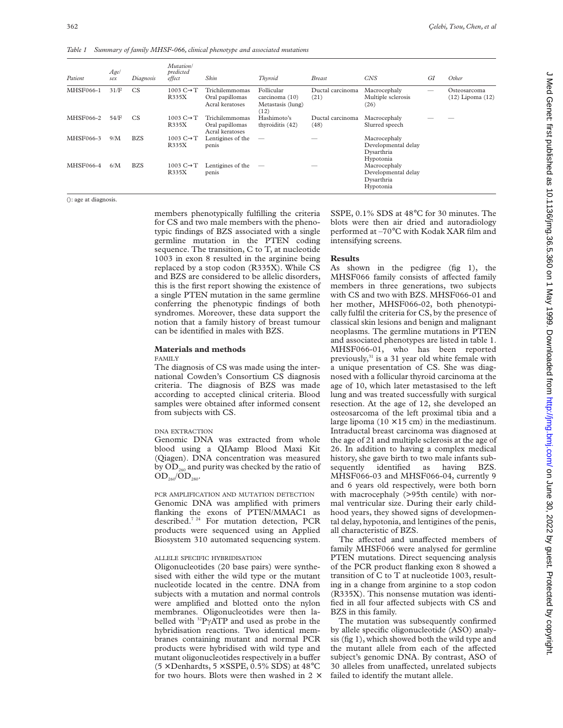*Table 1 Summary of family MHSF-066, clinical phenotype and associated mutations*

| Patient   | Age/<br>sex | Diagnosis  | Mutation/<br>predicted<br>effect | Skin                                                 | Thyroid                                                   | <b>Breast</b>            | <b>CNS</b>                                                     | GI | Other                                |
|-----------|-------------|------------|----------------------------------|------------------------------------------------------|-----------------------------------------------------------|--------------------------|----------------------------------------------------------------|----|--------------------------------------|
| MHSF066-1 | 31/F        | CS         | 1003 $C \rightarrow T$<br>R335X  | Trichilemmomas<br>Oral papillomas<br>Acral keratoses | Follicular<br>carcinoma (10)<br>Metastasis (lung)<br>(12) | Ductal carcinoma<br>(21) | Macrocephaly<br>Multiple sclerosis<br>(26)                     |    | Osteosarcoma<br>$(12)$ Lipoma $(12)$ |
| MHSF066-2 | 54/F        | <b>CS</b>  | 1003 $C \rightarrow T$<br>R335X  | Trichilemmomas<br>Oral papillomas<br>Acral keratoses | Hashimoto's<br>thyroiditis (42)                           | Ductal carcinoma<br>(48) | Macrocephaly<br>Slurred speech                                 |    |                                      |
| MHSF066-3 | 9/M         | <b>BZS</b> | 1003 $C \rightarrow T$<br>R335X  | Lentigines of the<br>penis                           | $\overline{\phantom{a}}$                                  |                          | Macrocephaly<br>Developmental delay<br>Dysarthria<br>Hypotonia |    |                                      |
| MHSF066-4 | 6/M         | <b>BZS</b> | 1003 $C \rightarrow T$<br>R335X  | Lentigines of the<br>penis                           | $\overline{\phantom{a}}$                                  |                          | Macrocephaly<br>Developmental delay<br>Dysarthria<br>Hypotonia |    |                                      |

(): age at diagnosis.

members phenotypically fulfilling the criteria for CS and two male members with the phenotypic findings of BZS associated with a single germline mutation in the PTEN coding sequence. The transition, C to T, at nucleotide 1003 in exon 8 resulted in the arginine being replaced by a stop codon (R335X). While CS and BZS are considered to be allelic disorders, this is the first report showing the existence of a single PTEN mutation in the same germline conferring the phenotypic findings of both syndromes. Moreover, these data support the notion that a family history of breast tumour can be identified in males with BZS.

# **Materials and methods**

FAMILY

The diagnosis of CS was made using the international Cowden's Consortium CS diagnosis criteria. The diagnosis of BZS was made according to accepted clinical criteria. Blood samples were obtained after informed consent from subjects with CS.

#### DNA EXTRACTION

Genomic DNA was extracted from whole blood using a QIAamp Blood Maxi Kit (Qiagen). DNA concentration was measured by  $OD_{260}$  and purity was checked by the ratio of  $OD_{260}/OD_{280}$ .

PCR AMPLIFICATION AND MUTATION DETECTION Genomic DNA was amplified with primers flanking the exons of PTEN/MMAC1 as described.<sup>7 24</sup> For mutation detection, PCR products were sequenced using an Applied Biosystem 310 automated sequencing system.

### ALLELE SPECIFIC HYBRIDISATION

Oligonucleotides (20 base pairs) were synthesised with either the wild type or the mutant nucleotide located in the centre. DNA from subjects with a mutation and normal controls were amplified and blotted onto the nylon membranes. Oligonucleotides were then labelled with  ${}^{32}P\gamma$ ATP and used as probe in the hybridisation reactions. Two identical membranes containing mutant and normal PCR products were hybridised with wild type and mutant oligonucleotides respectively in a buffer  $(5 \times$  Denhardts,  $5 \times$  SSPE, 0.5% SDS) at 48°C for two hours. Blots were then washed in  $2 \times$ 

SSPE, 0.1% SDS at 48°C for 30 minutes. The blots were then air dried and autoradiology performed at –70°C with Kodak XAR film and intensifying screens.

#### **Results**

As shown in the pedigree (fig 1), the MHSF066 family consists of affected family members in three generations, two subjects with CS and two with BZS. MHSF066-01 and her mother, MHSF066-02, both phenotypically fulfil the criteria for CS, by the presence of classical skin lesions and benign and malignant neoplasms. The germline mutations in PTEN and associated phenotypes are listed in table 1. MHSF066-01, who has been reported previously,<sup>31</sup> is a 31 year old white female with a unique presentation of CS. She was diagnosed with a follicular thyroid carcinoma at the age of 10, which later metastasised to the left lung and was treated successfully with surgical resection. At the age of 12, she developed an osteosarcoma of the left proximal tibia and a large lipoma  $(10 \times 15$  cm) in the mediastinum. Intraductal breast carcinoma was diagnosed at the age of 21 and multiple sclerosis at the age of 26. In addition to having a complex medical history, she gave birth to two male infants subsequently identified as having BZS. MHSF066-03 and MHSF066-04, currently 9 and 6 years old respectively, were both born with macrocephaly (>95th centile) with normal ventricular size. During their early childhood years, they showed signs of developmental delay, hypotonia, and lentigines of the penis, all characteristic of BZS.

The affected and unaffected members of family MHSF066 were analysed for germline PTEN mutations. Direct sequencing analysis of the PCR product flanking exon 8 showed a transition of C to T at nucleotide 1003, resulting in a change from arginine to a stop codon (R335X). This nonsense mutation was identified in all four affected subjects with CS and BZS in this family.

The mutation was subsequently confirmed by allele specific oligonucleotide (ASO) analysis (fig 1), which showed both the wild type and the mutant allele from each of the affected subject's genomic DNA. By contrast, ASO of 30 alleles from unaffected, unrelated subjects failed to identify the mutant allele.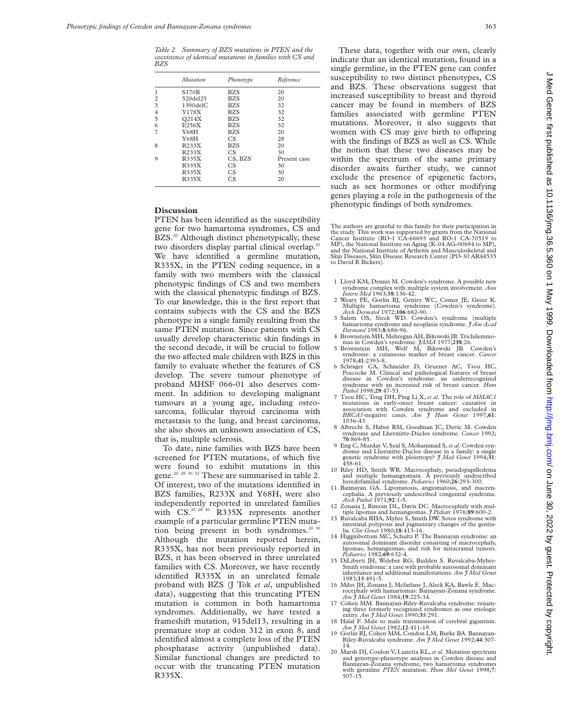*Table 2 Summary of BZS mutations in PTEN and the coexistence of identical mutations in families with CS and BZS*

|                | Mutation       | Phenotype      | Reference    |
|----------------|----------------|----------------|--------------|
|                | <b>S170R</b>   | BZS            | 20           |
| $\overline{c}$ | 520del25       | <b>BZS</b>     | 20           |
| 3              | $1390$ del $C$ | <b>BZS</b>     | 32           |
| 4              | Y178X          | <b>BZS</b>     | 32           |
| 5              | Q214X          | <b>BZS</b>     | 32           |
| 6              | E256X          | <b>BZS</b>     | 32           |
| 7              | Y68H           | <b>BZS</b>     | 20           |
|                | Y68H           | CS             | 28           |
| 8              | R233X          | <b>BZS</b>     | 20           |
|                | R233X          | C <sub>S</sub> | 30           |
| $\mathbf Q$    | R335X          | CS, BZS        | Present case |
|                | R335X          | C <sub>S</sub> | 30           |
|                | R335X          | CS.            | 30           |
|                | R335X          | C.S            | 20           |

## **Discussion**

PTEN has been identified as the susceptibility gene for two hamartoma syndromes, CS and BZS.<sup>20</sup> Although distinct phenotypically, these two disorders display partial clinical overlap.<sup>21</sup> We have identified a germline mutation, R335X, in the PTEN coding sequence, in a family with two members with the classical phenotypic findings of CS and two members with the classical phenotypic findings of BZS. To our knowledge, this is the first report that contains subjects with the CS and the BZS phenotype in a single family resulting from the same PTEN mutation. Since patients with CS usually develop characteristic skin findings in the second decade, it will be crucial to follow the two affected male children with BZS in this family to evaluate whether the features of CS develop. The severe tumour phenotype of proband MHSF 066-01 also deserves comment. In addition to developing malignant tumours at a young age, including osteosarcoma, follicular thyroid carcinoma with metastasis to the lung, and breast carcinoma, she also shows an unknown association of CS, that is, multiple sclerosis.

To date, nine families with BZS have been screened for PTEN mutations, of which five were found to exhibit mutations in this gene.<sup>20 28 30 32</sup> These are summarised in table 2. Of interest, two of the mutations identified in BZS families, R233X and Y68H, were also independently reported in unrelated families with CS.<sup>20 28 30</sup> R335X represents another example of a particular germline PTEN mutation being present in both syndromes.<sup>20 30</sup> Although the mutation reported herein, R335X, has not been previously reported in BZS, it has been observed in three unrelated families with CS. Moreover, we have recently identified R335X in an unrelated female proband with BZS (J Tok *et al*, unpublished data), suggesting that this truncating PTEN mutation is common in both hamartoma syndromes. Additionally, we have tested a frameshift mutation, 915del13, resulting in a premature stop at codon 312 in exon 8, and identified almost a complete loss of the PTEN phosphatase activity (unpublished data). Similar functional changes are predicted to occur with the truncating PTEN mutation R335X.

These data, together with our own, clearly indicate that an identical mutation, found in a single germline, in the PTEN gene can confer susceptibility to two distinct phenotypes, CS and BZS. These observations suggest that increased susceptibility to breast and thyroid cancer may be found in members of BZS families associated with germline PTEN mutations. Moreover, it also suggests that women with CS may give birth to offspring with the findings of BZS as well as CS. While the notion that these two diseases may be within the spectrum of the same primary disorder awaits further study, we cannot exclude the presence of epigenetic factors, such as sex hormones or other modifying genes playing a role in the pathogenesis of the phenotypic findings of both syndromes.

The authors are grateful to this family for their participation in the study. This work was supported by grants from the National Cancer Institute (RO-1 CA-66693 and RO-1 CA-70519 to MP), the National Institute on Aging (K-04 AG-00694 to MP), and the National Institute of Arthritis and Musculoskeletal and Skin Diseases, Skin Disease Research Center (PO-30 AR44535 to David R Bickers).

- 1 Lloyd KM, Dennis M. Cowden's syndrome. A possible new syndrome complex with multiple system involvement. *Ann Intern Med* 1963;**58**:136-42.
- 2 Weary PE, Gorlin RJ, Gentry WC, Comer JE, Greer K. Multiple hamartoma syndrome (Cowden's syndrome).
- *Arch Dermatol* 1972;**106**:682-90. 3 Salem OS, Steck WD. Cowden's syndrome (multiple hamartoma syndrome and neoplasia syndrome. *J Am Acad Dermatol* 1983;**8**:686-96.
- 4 Brownstein MH, Mehregan AH, Bikowski JB. Trichilemmo-
- mas in Cowden's syndrome. *JAMA* 1977;238:26.<br>5 Brownstein MH, Wolf M, Bikowski JB. Cowden's<br>syndrome: a cutaneous marker of breast cancer. *Cancer* 1978;**41**:2393-8.
- 6 Schrager CA, Schneider D, Gruener AC, Tsou HC, Peacocke M. Clinical and pathological features of breast disease in Cowden's syndrome: an underrecognized syndrome with an increased risk of breast cancer. *Hum Pathol* 1998;**29**:47-53.
- 7 Tsou HC, Teng DH, Ping Li X, *et al*. The role of *MMAC1* mutations in early-onset breast cancer: causative in association with Cowden syndrome and excluded in *BRCA1*-negative cases. *Am J Hum Genet* 1997;**61**: 1036-43.
- 8 Albrecht S, Haber RM, Goodman JC, Duvic M. Cowden syndrome and Lhermitte-Duclos syndrome. *Cancer* 1992; **70**:869-85.
- 9 Eng C, Murday V, Seal S, Mohammad S,*et al*. Cowden syndrome and Lhermitte-Duclos disease in a family: a single genetic syndrome with pleiotropy? *J Med Genet* 1994;**31**: 458-61.
- 10 Riley HD, Smith WR. Macrocephaly, pseudopapilledema and multiple hemangiomata. A previously undescribed
- heredofamilial syndrome. *Pediatrics* 1960;**26**:293-300. 11 Bannayan GA. Lipomatosis, angiomatosis, and macren-cephalia. A previously undescribed congenital syndrome. *Arch Pathol* 1971;**92**:1-5.
- 12 Zonana J, Rimoin DL, Davis DC. Macrocephaly with mul-tiple lipomas and hemangiomas. *J Pediatr* 1976;**89**:600-2.
- 13 Ruvalcaba RHA, Myhre S, Smith DW. Sotos syndrome with intestinal polyposis and pigmentary changes of the genita-lia. *Clin Genet* 1980;**18**:413-16.
- 14 Higginbottom MC, Schultz P. The Bannayan syndrome: an autosomal dominant disorder consisting of macrocephaly, lipomas, hemangiomas, and risk for intracranial tumors. *Pediatrics* 1982;**69**:632-4.
- 15 DiLiberti JH, Weleber RG, Budden S. Ruvalcaba-Myhre-Smith syndrome: a case with probable autosomal dominant inheritance and additional manifestations. *Am J Med Genet* 1983;**15**:491-5.
- 16 Miles JH, Zonana J, Mcfarlane J, Aleck KA, Bawle E. Mac-rocephaly with hamartomas: Bannayan-Zonana syndrome. *Am J Med Genet* 1984;**19**:225-34.
- 17 Cohen MM. Bannayan-Riley-Ruvalcaba syndrome: renaming three formerly recognized syndromes as one etiologic entity. *Am J Med Genet* 1990;**35**:291.
- 18 Halal F. Male to male transmission of cerebral gigantism. *Am J Med Genet* 1982;**12**:411-19. 19 Gorlin RJ, Cohen MM, Condon LM, Burke BA. Bannayan-
- Riley-Ruvalcaba syndrome. *Am J Med Genet* 1992;**44**:307- 14.
- 20 Marsh DJ, Coulon V, Lunetta KL, *et al*. Mutation spectrum<br>and genotype-phenotype analyses in Cowden disease and<br>Bannayan-Zonana syndrome, two hamartoma syndromes<br>with germline *PTEN* mutation. *Hum Mol Genet* 1998;7:<br>5